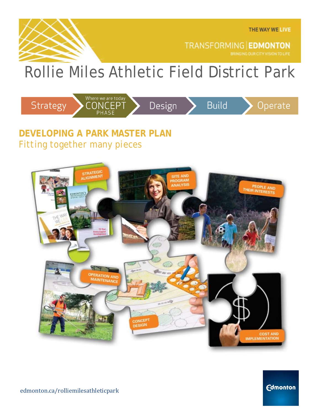

**TRANSFORMING EDMONTON** 

# Rollie Miles Athletic Field District Park



### **DEVELOPING A PARK MASTER PLAN** *Fitting together many pieces*



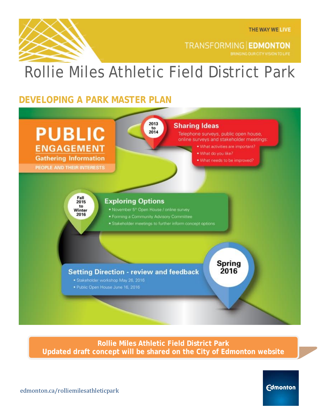

**TRANSFORMING EDMONTON** BRINGING OUR CITY VISION TO LIFE

## Rollie Miles Athletic Field District Park

### **DEVELOPING A PARK MASTER PLAN**



**Rollie Miles Athletic Field District Park Updated draft concept will be shared on the City of Edmonton website**

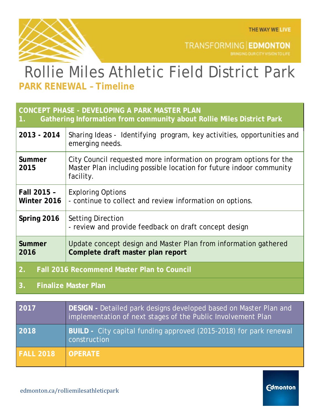**Edmonton** 



TRANSFORMING EDMONTON

## Rollie Miles Athletic Field District Park **PARK RENEWAL – Timeline**

#### **CONCEPT PHASE - DEVELOPING A PARK MASTER PLAN**

**1. Gathering Information from community about Rollie Miles District Park**

| 2013 - 2014                                             | Sharing Ideas - Identifying program, key activities, opportunities and<br>emerging needs.                                                              |
|---------------------------------------------------------|--------------------------------------------------------------------------------------------------------------------------------------------------------|
| Summer<br>2015                                          | City Council requested more information on program options for the<br>Master Plan including possible location for future indoor community<br>facility. |
| Fall 2015 -<br>Winter 2016                              | <b>Exploring Options</b><br>- continue to collect and review information on options.                                                                   |
| Spring 2016                                             | <b>Setting Direction</b><br>- review and provide feedback on draft concept design                                                                      |
| Summer<br>2016                                          | Update concept design and Master Plan from information gathered<br>Complete draft master plan report                                                   |
| 2.<br><b>Fall 2016 Recommend Master Plan to Council</b> |                                                                                                                                                        |

#### **3. Finalize Master Plan**

| 2017             | DESIGN - Detailed park designs developed based on Master Plan and<br>implementation of next stages of the Public Involvement Plan |
|------------------|-----------------------------------------------------------------------------------------------------------------------------------|
| 2018             | BUILD - City capital funding approved (2015-2018) for park renewal<br>construction                                                |
| <b>FALL 2018</b> | <b>OPERATE</b>                                                                                                                    |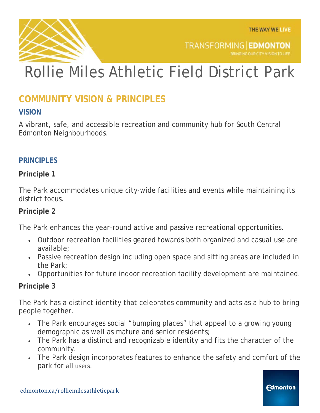**Edmonton** 



**TRANSFORMING EDMONTON** BRINGING OUR CITY VISION TO LIFE

# Rollie Miles Athletic Field District Park

### **COMMUNITY VISION & PRINCIPLES**

#### **VISION**

A vibrant, safe, and accessible recreation and community hub for South Central Edmonton Neighbourhoods.

#### **PRINCIPLES**

#### **Principle 1**

The Park accommodates unique city-wide facilities and events while maintaining its district focus.

#### **Principle 2**

The Park enhances the year-round active and passive recreational opportunities.

- Outdoor recreation facilities geared towards both organized and casual use are available;
- Passive recreation design including open space and sitting areas are included in the Park;
- Opportunities for future indoor recreation facility development are maintained.

#### **Principle 3**

The Park has a distinct identity that celebrates community and acts as a hub to bring people together.

- The Park encourages social "bumping places" that appeal to a growing young demographic as well as mature and senior residents;
- The Park has a distinct and recognizable identity and fits the character of the community.
- The Park design incorporates features to enhance the safety and comfort of the park for all users.

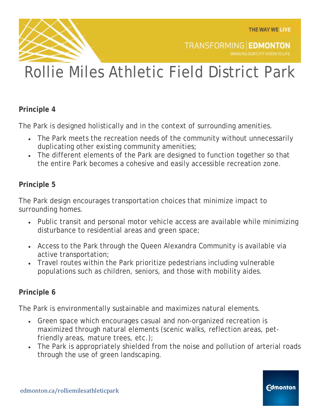**Edmonton** 

BRINGING OUR CITY VISION TO LIFE

**TRANSFORMING EDMONTON** 



# Rollie Miles Athletic Field District Park

#### **Principle 4**

The Park is designed holistically and in the context of surrounding amenities.

- The Park meets the recreation needs of the community without unnecessarily duplicating other existing community amenities;
- The different elements of the Park are designed to function together so that the entire Park becomes a cohesive and easily accessible recreation zone.

#### **Principle 5**

The Park design encourages transportation choices that minimize impact to surrounding homes.

- Public transit and personal motor vehicle access are available while minimizing disturbance to residential areas and green space;
- Access to the Park through the Queen Alexandra Community is available via active transportation;
- Travel routes within the Park prioritize pedestrians including vulnerable populations such as children, seniors, and those with mobility aides.

#### **Principle 6**

The Park is environmentally sustainable and maximizes natural elements.

- Green space which encourages casual and non-organized recreation is maximized through natural elements (scenic walks, reflection areas, petfriendly areas, mature trees, etc.);
- The Park is appropriately shielded from the noise and pollution of arterial roads through the use of green landscaping.